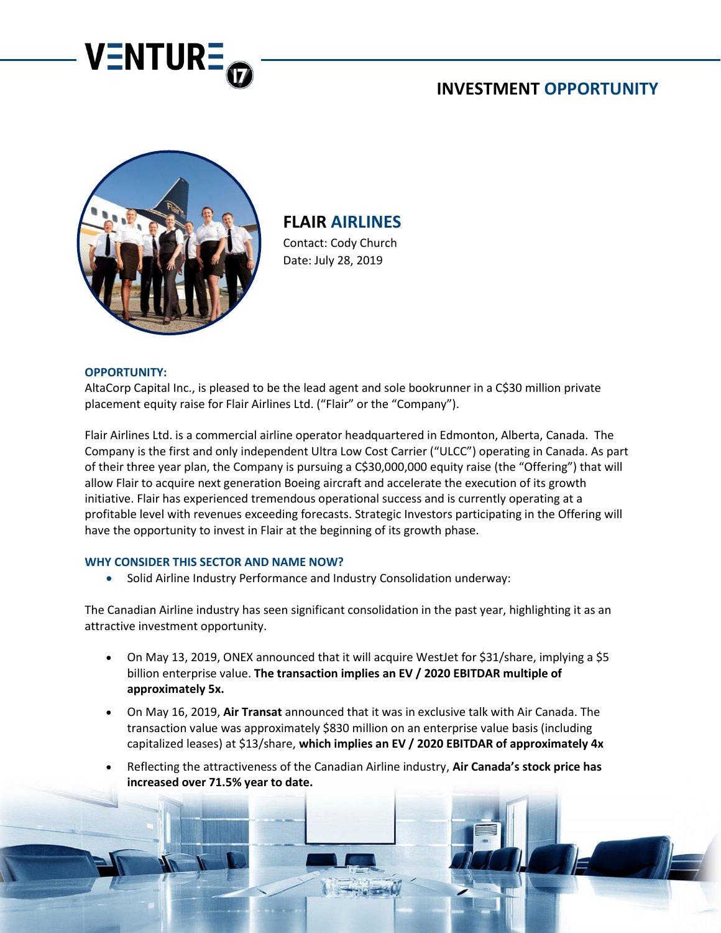



**FLAIR AIRLINES** Contact: Cody Church

Date: July 28, 2019

#### **OPPORTUNITY:**

AltaCorp Capital Inc., is pleased to be the lead agent and sole bookrunner in a C\$30 million private placement equity raise for Flair Airlines Ltd. ("Flair" or the "Company").

Flair Airlines Ltd. is a commercial airline operator headquartered in Edmonton, Alberta, Canada. The Company is the first and only independent Ultra Low Cost Carrier ("ULCC") operating in Canada. As part of their three year plan, the Company is pursuing a C\$30,000,000 equity raise (the "Offering") that will allow Flair to acquire next generation Boeing aircraft and accelerate the execution of its growth initiative. Flair has experienced tremendous operational success and is currently operating at a profitable level with revenues exceeding forecasts. Strategic Investors participating in the Offering will have the opportunity to invest in Flair at the beginning of its growth phase.

## **WHY CONSIDER THIS SECTOR AND NAME NOW?**

• Solid Airline Industry Performance and Industry Consolidation underway:

The Canadian Airline industry has seen significant consolidation in the past year, highlighting it as an attractive investment opportunity.

- On May 13, 2019, ONEX announced that it will acquire WestJet for \$31/share, implying a \$5 billion enterprise value. **The transaction implies an EV / 2020 EBITDAR multiple of approximately 5x.**
- On May 16, 2019, **Air Transat** announced that it was in exclusive talk with Air Canada. The transaction value was approximately \$830 million on an enterprise value basis (including capitalized leases) at \$13/share, **which implies an EV / 2020 EBITDAR of approximately 4x**
- Reflecting the attractiveness of the Canadian Airline industry, **Air Canada's stock price has increased over 71.5% year to date.**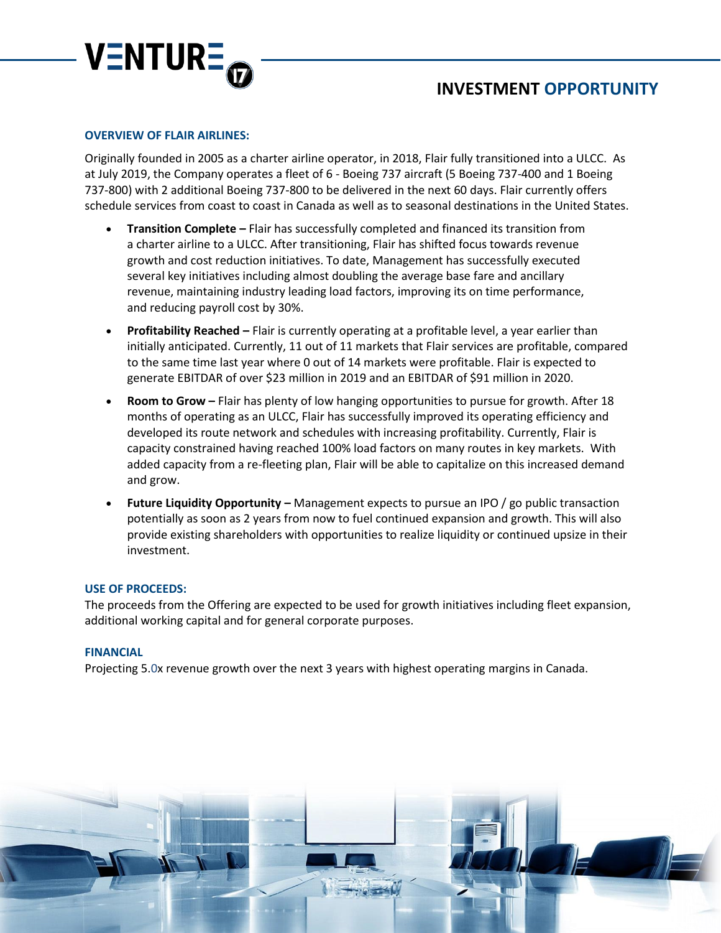

#### **OVERVIEW OF FLAIR AIRLINES:**

Originally founded in 2005 as a charter airline operator, in 2018, Flair fully transitioned into a ULCC. As at July 2019, the Company operates a fleet of 6 - Boeing 737 aircraft (5 Boeing 737-400 and 1 Boeing 737-800) with 2 additional Boeing 737-800 to be delivered in the next 60 days. Flair currently offers schedule services from coast to coast in Canada as well as to seasonal destinations in the United States.

- **Transition Complete –** Flair has successfully completed and financed its transition from a charter airline to a ULCC. After transitioning, Flair has shifted focus towards revenue growth and cost reduction initiatives. To date, Management has successfully executed several key initiatives including almost doubling the average base fare and ancillary revenue, maintaining industry leading load factors, improving its on time performance, and reducing payroll cost by 30%.
- **Profitability Reached –** Flair is currently operating at a profitable level, a year earlier than initially anticipated. Currently, 11 out of 11 markets that Flair services are profitable, compared to the same time last year where 0 out of 14 markets were profitable. Flair is expected to generate EBITDAR of over \$23 million in 2019 and an EBITDAR of \$91 million in 2020.
- **Room to Grow –** Flair has plenty of low hanging opportunities to pursue for growth. After 18 months of operating as an ULCC, Flair has successfully improved its operating efficiency and developed its route network and schedules with increasing profitability. Currently, Flair is capacity constrained having reached 100% load factors on many routes in key markets. With added capacity from a re-fleeting plan, Flair will be able to capitalize on this increased demand and grow.
- **Future Liquidity Opportunity –** Management expects to pursue an IPO / go public transaction potentially as soon as 2 years from now to fuel continued expansion and growth. This will also provide existing shareholders with opportunities to realize liquidity or continued upsize in their investment.

#### **USE OF PROCEEDS:**

The proceeds from the Offering are expected to be used for growth initiatives including fleet expansion, additional working capital and for general corporate purposes.

#### **FINANCIAL**

Projecting 5.0x revenue growth over the next 3 years with highest operating margins in Canada.

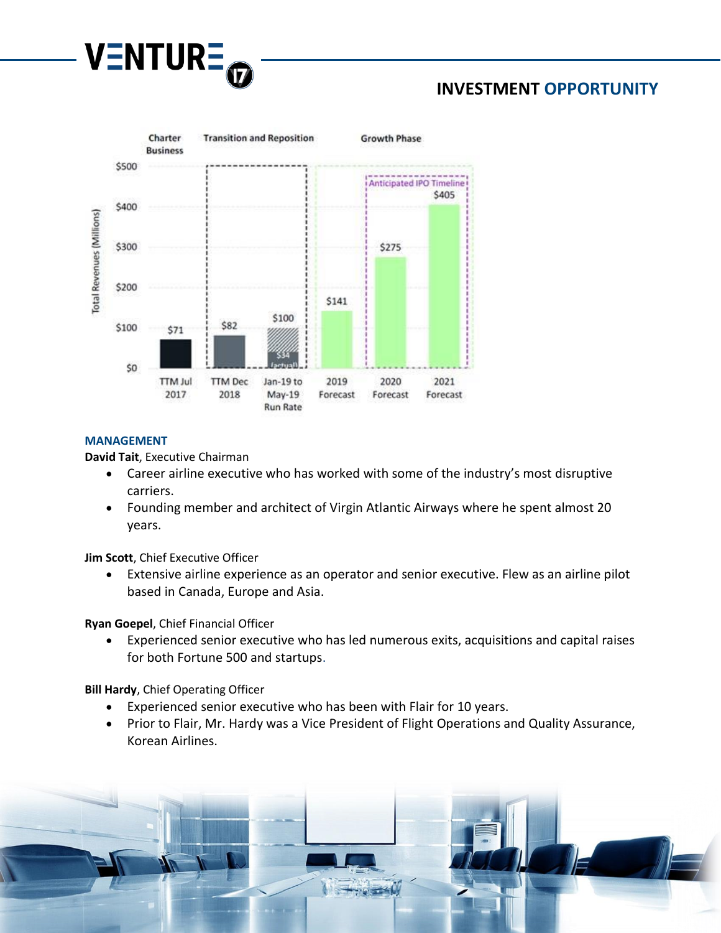



## **MANAGEMENT**

**David Tait**, Executive Chairman

- Career airline executive who has worked with some of the industry's most disruptive carriers.
- Founding member and architect of Virgin Atlantic Airways where he spent almost 20 years.

**Jim Scott**, Chief Executive Officer

• Extensive airline experience as an operator and senior executive. Flew as an airline pilot based in Canada, Europe and Asia.

**Ryan Goepel**, Chief Financial Officer

• Experienced senior executive who has led numerous exits, acquisitions and capital raises for both Fortune 500 and startups.

**Bill Hardy**, Chief Operating Officer

- Experienced senior executive who has been with Flair for 10 years.
- Prior to Flair, Mr. Hardy was a Vice President of Flight Operations and Quality Assurance, Korean Airlines.